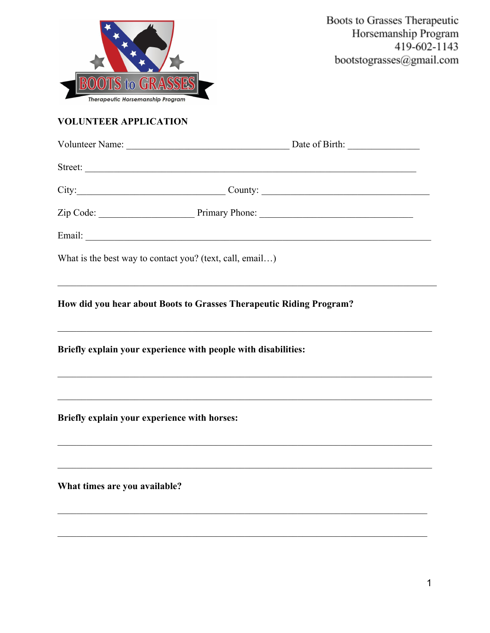

# **VOLUNTEER APPLICATION**

|                                              | $City:$ City:                                                                                                                                                                           |  |
|----------------------------------------------|-----------------------------------------------------------------------------------------------------------------------------------------------------------------------------------------|--|
|                                              |                                                                                                                                                                                         |  |
|                                              |                                                                                                                                                                                         |  |
|                                              | What is the best way to contact you? (text, call, email)                                                                                                                                |  |
|                                              | and the control of the control of the control of the control of the control of the control of the control of the<br>How did you hear about Boots to Grasses Therapeutic Riding Program? |  |
|                                              | Briefly explain your experience with people with disabilities:                                                                                                                          |  |
| Briefly explain your experience with horses: |                                                                                                                                                                                         |  |
| What times are you available?                |                                                                                                                                                                                         |  |
|                                              |                                                                                                                                                                                         |  |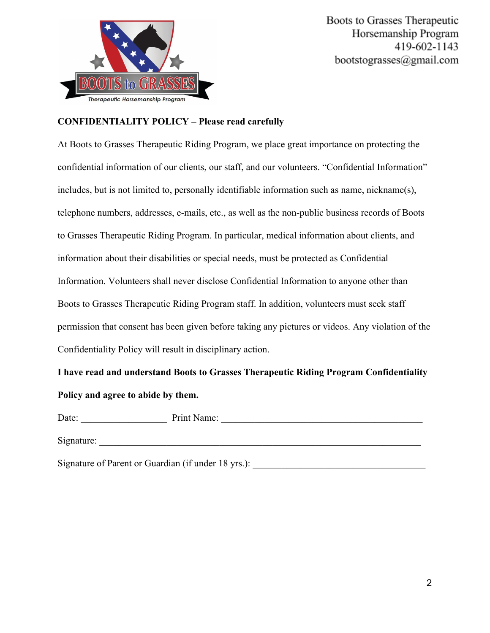

### **CONFIDENTIALITY POLICY – Please read carefully**

At Boots to Grasses Therapeutic Riding Program, we place great importance on protecting the confidential information of our clients, our staff, and our volunteers. "Confidential Information" includes, but is not limited to, personally identifiable information such as name, nickname(s), telephone numbers, addresses, e-mails, etc., as well as the non-public business records of Boots to Grasses Therapeutic Riding Program. In particular, medical information about clients, and information about their disabilities or special needs, must be protected as Confidential Information. Volunteers shall never disclose Confidential Information to anyone other than Boots to Grasses Therapeutic Riding Program staff. In addition, volunteers must seek staff permission that consent has been given before taking any pictures or videos. Any violation of the Confidentiality Policy will result in disciplinary action.

**I have read and understand Boots to Grasses Therapeutic Riding Program Confidentiality Policy and agree to abide by them.**

Date: The Print Name:  $\blacksquare$ 

Signature:

Signature of Parent or Guardian (if under 18 yrs.): \_\_\_\_\_\_\_\_\_\_\_\_\_\_\_\_\_\_\_\_\_\_\_\_\_\_\_\_\_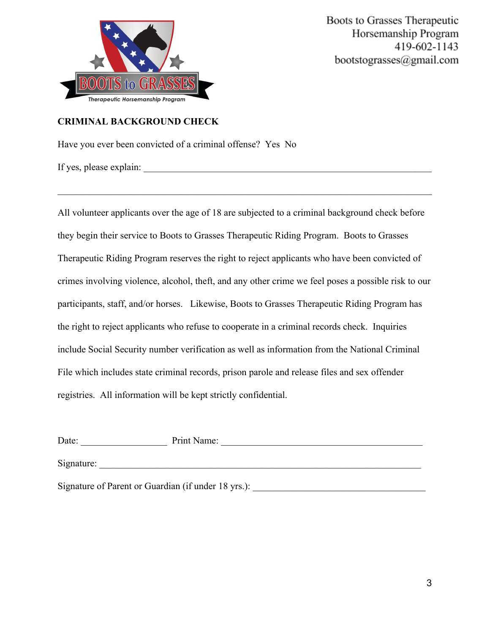

## **CRIMINAL BACKGROUND CHECK**

Have you ever been convicted of a criminal offense? Yes No

If yes, please explain:

All volunteer applicants over the age of 18 are subjected to a criminal background check before they begin their service to Boots to Grasses Therapeutic Riding Program. Boots to Grasses Therapeutic Riding Program reserves the right to reject applicants who have been convicted of crimes involving violence, alcohol, theft, and any other crime we feel poses a possible risk to our participants, staff, and/or horses. Likewise, Boots to Grasses Therapeutic Riding Program has the right to reject applicants who refuse to cooperate in a criminal records check. Inquiries include Social Security number verification as well as information from the National Criminal File which includes state criminal records, prison parole and release files and sex offender registries. All information will be kept strictly confidential.

 $\mathcal{L}_\mathcal{L} = \{ \mathcal{L}_\mathcal{L} = \{ \mathcal{L}_\mathcal{L} = \{ \mathcal{L}_\mathcal{L} = \{ \mathcal{L}_\mathcal{L} = \{ \mathcal{L}_\mathcal{L} = \{ \mathcal{L}_\mathcal{L} = \{ \mathcal{L}_\mathcal{L} = \{ \mathcal{L}_\mathcal{L} = \{ \mathcal{L}_\mathcal{L} = \{ \mathcal{L}_\mathcal{L} = \{ \mathcal{L}_\mathcal{L} = \{ \mathcal{L}_\mathcal{L} = \{ \mathcal{L}_\mathcal{L} = \{ \mathcal{L}_\mathcal{$ 

| Date:                                               | Print Name: |
|-----------------------------------------------------|-------------|
| Signature:                                          |             |
| Signature of Parent or Guardian (if under 18 yrs.): |             |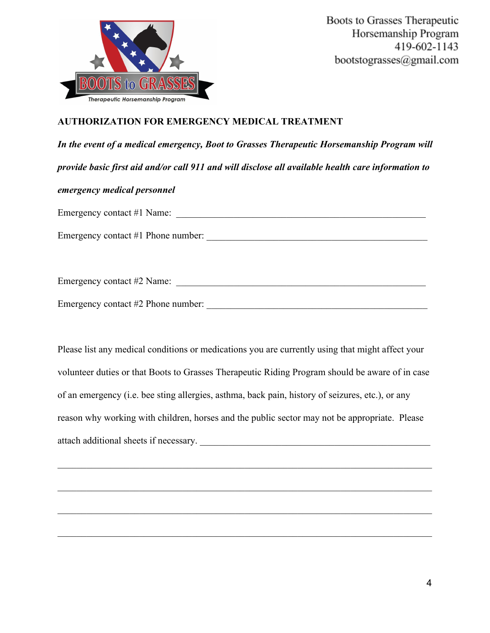

# **AUTHORIZATION FOR EMERGENCY MEDICAL TREATMENT**

*In the event of a medical emergency, Boot to Grasses Therapeutic Horsemanship Program will provide basic first aid and/or call 911 and will disclose all available health care information to emergency medical personnel* Emergency contact #1 Name: Emergency contact #1 Phone number: \_\_\_\_\_\_\_\_\_\_\_\_\_\_\_\_\_\_\_\_\_\_\_\_\_\_\_\_\_\_\_\_\_\_\_\_\_\_\_\_\_\_\_\_\_\_

Emergency contact #2 Name: \_\_\_\_\_\_\_\_\_\_\_\_\_\_\_\_\_\_\_\_\_\_\_\_\_\_\_\_\_\_\_\_\_\_\_\_\_\_\_\_\_\_\_\_\_\_\_\_\_\_\_\_

Emergency contact #2 Phone number: \_\_\_\_\_\_\_\_\_\_\_\_\_\_\_\_\_\_\_\_\_\_\_\_\_\_\_\_\_\_\_\_\_\_\_\_\_\_\_\_\_\_\_\_\_\_

Please list any medical conditions or medications you are currently using that might affect your volunteer duties or that Boots to Grasses Therapeutic Riding Program should be aware of in case of an emergency (i.e. bee sting allergies, asthma, back pain, history of seizures, etc.), or any reason why working with children, horses and the public sector may not be appropriate. Please attach additional sheets if necessary. \_\_\_\_\_\_\_\_\_\_\_\_\_\_\_\_\_\_\_\_\_\_\_\_\_\_\_\_\_\_\_\_\_\_\_\_\_\_\_\_\_\_\_\_\_\_\_\_

 $\mathcal{L}_\mathcal{L} = \{ \mathcal{L}_\mathcal{L} = \{ \mathcal{L}_\mathcal{L} = \{ \mathcal{L}_\mathcal{L} = \{ \mathcal{L}_\mathcal{L} = \{ \mathcal{L}_\mathcal{L} = \{ \mathcal{L}_\mathcal{L} = \{ \mathcal{L}_\mathcal{L} = \{ \mathcal{L}_\mathcal{L} = \{ \mathcal{L}_\mathcal{L} = \{ \mathcal{L}_\mathcal{L} = \{ \mathcal{L}_\mathcal{L} = \{ \mathcal{L}_\mathcal{L} = \{ \mathcal{L}_\mathcal{L} = \{ \mathcal{L}_\mathcal{$ 

 $\mathcal{L}_\mathcal{L} = \{ \mathcal{L}_\mathcal{L} = \{ \mathcal{L}_\mathcal{L} = \{ \mathcal{L}_\mathcal{L} = \{ \mathcal{L}_\mathcal{L} = \{ \mathcal{L}_\mathcal{L} = \{ \mathcal{L}_\mathcal{L} = \{ \mathcal{L}_\mathcal{L} = \{ \mathcal{L}_\mathcal{L} = \{ \mathcal{L}_\mathcal{L} = \{ \mathcal{L}_\mathcal{L} = \{ \mathcal{L}_\mathcal{L} = \{ \mathcal{L}_\mathcal{L} = \{ \mathcal{L}_\mathcal{L} = \{ \mathcal{L}_\mathcal{$ 

 $\mathcal{L}_\mathcal{L} = \{ \mathcal{L}_\mathcal{L} = \{ \mathcal{L}_\mathcal{L} = \{ \mathcal{L}_\mathcal{L} = \{ \mathcal{L}_\mathcal{L} = \{ \mathcal{L}_\mathcal{L} = \{ \mathcal{L}_\mathcal{L} = \{ \mathcal{L}_\mathcal{L} = \{ \mathcal{L}_\mathcal{L} = \{ \mathcal{L}_\mathcal{L} = \{ \mathcal{L}_\mathcal{L} = \{ \mathcal{L}_\mathcal{L} = \{ \mathcal{L}_\mathcal{L} = \{ \mathcal{L}_\mathcal{L} = \{ \mathcal{L}_\mathcal{$ 

 $\mathcal{L}_\mathcal{L} = \{ \mathcal{L}_\mathcal{L} = \{ \mathcal{L}_\mathcal{L} = \{ \mathcal{L}_\mathcal{L} = \{ \mathcal{L}_\mathcal{L} = \{ \mathcal{L}_\mathcal{L} = \{ \mathcal{L}_\mathcal{L} = \{ \mathcal{L}_\mathcal{L} = \{ \mathcal{L}_\mathcal{L} = \{ \mathcal{L}_\mathcal{L} = \{ \mathcal{L}_\mathcal{L} = \{ \mathcal{L}_\mathcal{L} = \{ \mathcal{L}_\mathcal{L} = \{ \mathcal{L}_\mathcal{L} = \{ \mathcal{L}_\mathcal{$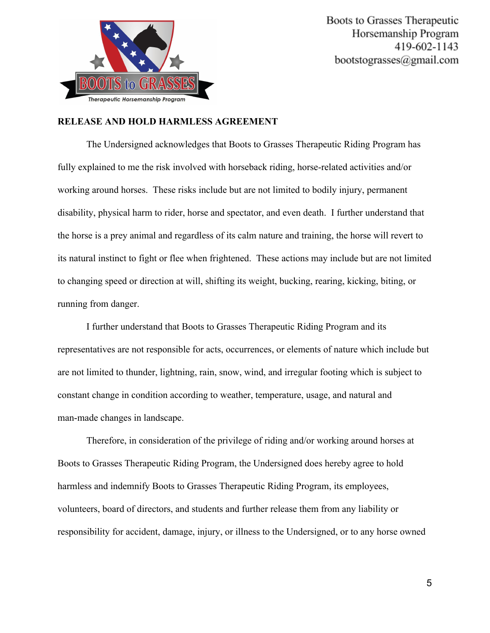

#### **RELEASE AND HOLD HARMLESS AGREEMENT**

The Undersigned acknowledges that Boots to Grasses Therapeutic Riding Program has fully explained to me the risk involved with horseback riding, horse-related activities and/or working around horses. These risks include but are not limited to bodily injury, permanent disability, physical harm to rider, horse and spectator, and even death. I further understand that the horse is a prey animal and regardless of its calm nature and training, the horse will revert to its natural instinct to fight or flee when frightened. These actions may include but are not limited to changing speed or direction at will, shifting its weight, bucking, rearing, kicking, biting, or running from danger.

I further understand that Boots to Grasses Therapeutic Riding Program and its representatives are not responsible for acts, occurrences, or elements of nature which include but are not limited to thunder, lightning, rain, snow, wind, and irregular footing which is subject to constant change in condition according to weather, temperature, usage, and natural and man-made changes in landscape.

Therefore, in consideration of the privilege of riding and/or working around horses at Boots to Grasses Therapeutic Riding Program, the Undersigned does hereby agree to hold harmless and indemnify Boots to Grasses Therapeutic Riding Program, its employees, volunteers, board of directors, and students and further release them from any liability or responsibility for accident, damage, injury, or illness to the Undersigned, or to any horse owned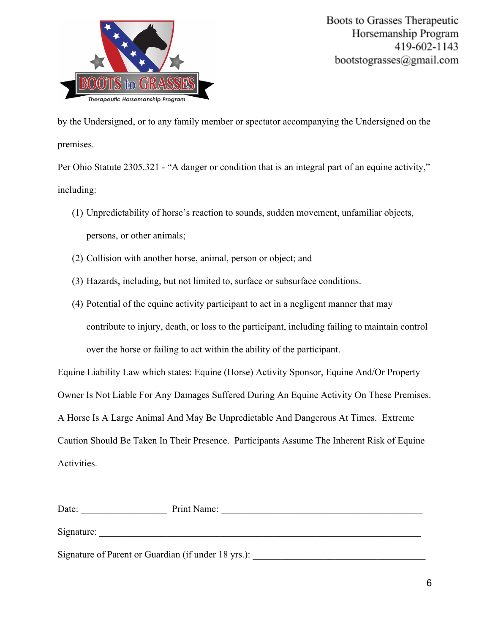

by the Undersigned, or to any family member or spectator accompanying the Undersigned on the premises.

Per Ohio Statute 2305.321 - "A danger or condition that is an integral part of an equine activity," including:

- (1) Unpredictability of horse's reaction to sounds, sudden movement, unfamiliar objects, persons, or other animals;
- (2) Collision with another horse, animal, person or object; and
- (3) Hazards, including, but not limited to, surface or subsurface conditions.
- (4) Potential of the equine activity participant to act in a negligent manner that may contribute to injury, death, or loss to the participant, including failing to maintain control over the horse or failing to act within the ability of the participant.

Equine Liability Law which states: Equine (Horse) Activity Sponsor, Equine And/Or Property Owner Is Not Liable For Any Damages Suffered During An Equine Activity On These Premises. A Horse Is A Large Animal And May Be Unpredictable And Dangerous At Times. Extreme Caution Should Be Taken In Their Presence. Participants Assume The Inherent Risk of Equine Activities.

| Date:                                               | Print Name: |
|-----------------------------------------------------|-------------|
| Signature:                                          |             |
| Signature of Parent or Guardian (if under 18 yrs.): |             |